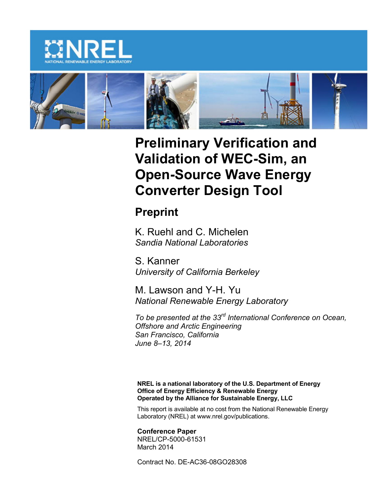



**Preliminary Verification and Validation of WEC-Sim, an Open-Source Wave Energy Converter Design Tool**

# **Preprint**

K. Ruehl and C. Michelen *Sandia National Laboratories* 

S. Kanner *University of California Berkeley* 

M. Lawson and Y-H. Yu *National Renewable Energy Laboratory*

*To be presented at the 33rd International Conference on Ocean, Offshore and Arctic Engineering San Francisco, California June 8‒13, 2014*

**NREL is a national laboratory of the U.S. Department of Energy Office of Energy Efficiency & Renewable Energy Operated by the Alliance for Sustainable Energy, LLC**

This report is available at no cost from the National Renewable Energy Laboratory (NREL) at www.nrel.gov/publications.

**Conference Paper** NREL/CP-5000-61531 March 2014

Contract No. DE-AC36-08GO28308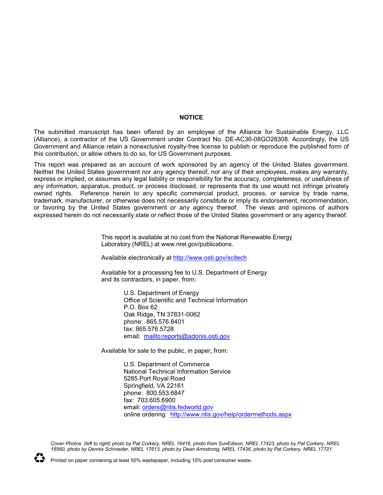# **NOTICE**

The submitted manuscript has been offered by an employee of the Alliance for Sustainable Energy, LLC (Alliance), a contractor of the US Government under Contract No. DE-AC36-08GO28308. Accordingly, the US Government and Alliance retain a nonexclusive royalty-free license to publish or reproduce the published form of this contribution, or allow others to do so, for US Government purposes.

This report was prepared as an account of work sponsored by an agency of the United States government. Neither the United States government nor any agency thereof, nor any of their employees, makes any warranty, express or implied, or assumes any legal liability or responsibility for the accuracy, completeness, or usefulness of any information, apparatus, product, or process disclosed, or represents that its use would not infringe privately owned rights. Reference herein to any specific commercial product, process, or service by trade name, trademark, manufacturer, or otherwise does not necessarily constitute or imply its endorsement, recommendation, or favoring by the United States government or any agency thereof. The views and opinions of authors expressed herein do not necessarily state or reflect those of the United States government or any agency thereof.

> This report is available at no cost from the National Renewable Energy Laboratory (NREL) at www.nrel.gov/publications.

Available electronically at<http://www.osti.gov/scitech>

Available for a processing fee to U.S. Department of Energy and its contractors, in paper, from:

> U.S. Department of Energy Office of Scientific and Technical Information P.O. Box 62 Oak Ridge, TN 37831-0062 phone: 865.576.8401 fax: 865.576.5728 email: <mailto:reports@adonis.osti.gov>

Available for sale to the public, in paper, from:

U.S. Department of Commerce National Technical Information Service 5285 Port Royal Road Springfield, VA 22161 phone: 800.553.6847 fax: 703.605.6900 email: [orders@ntis.fedworld.gov](mailto:orders@ntis.fedworld.gov) online ordering: <http://www.ntis.gov/help/ordermethods.aspx>

*Cover Photos: (left to right) photo by Pat Corkery, NREL 16416, photo from SunEdison, NREL 17423, photo by Pat Corkery, NREL 16560, photo by Dennis Schroeder, NREL 17613, photo by Dean Armstrong, NREL 17436, photo by Pat Corkery, NREL 17721.*

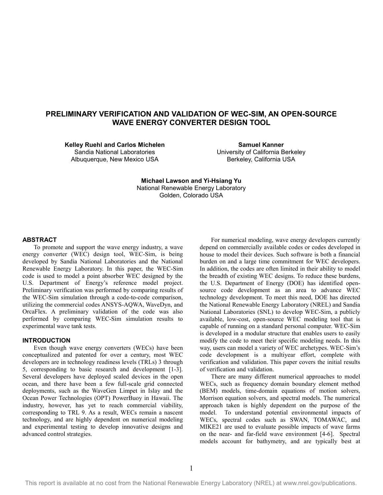# **PRELIMINARY VERIFICATION AND VALIDATION OF WEC-SIM, AN OPEN-SOURCE WAVE ENERGY CONVERTER DESIGN TOOL**

**Kelley Ruehl and Carlos Michelen** Sandia National Laboratories Albuquerque, New Mexico USA

**Samuel Kanner** University of California Berkeley Berkeley, California USA

**Michael Lawson and Yi-Hsiang Yu** National Renewable Energy Laboratory Golden, Colorado USA

#### **ABSTRACT**

To promote and support the wave energy industry, a wave energy converter (WEC) design tool, WEC-Sim, is being developed by Sandia National Laboratories and the National Renewable Energy Laboratory. In this paper, the WEC-Sim code is used to model a point absorber WEC designed by the U.S. Department of Energy's reference model project. Preliminary verification was performed by comparing results of the WEC-Sim simulation through a code-to-code comparison, utilizing the commercial codes ANSYS-AQWA, WaveDyn, and OrcaFlex. A preliminary validation of the code was also performed by comparing WEC-Sim simulation results to experimental wave tank tests.

#### **INTRODUCTION**

Even though wave energy converters (WECs) have been conceptualized and patented for over a century, most WEC developers are in technology readiness levels (TRLs) 3 through 5, corresponding to basic research and development [1-3]. Several developers have deployed scaled devices in the open ocean, and there have been a few full-scale grid connected deployments, such as the WaveGen Limpet in Islay and the Ocean Power Technologies (OPT) PowerBuoy in Hawaii. The industry, however, has yet to reach commercial viability, corresponding to TRL 9. As a result, WECs remain a nascent technology, and are highly dependent on numerical modeling and experimental testing to develop innovative designs and advanced control strategies.

For numerical modeling, wave energy developers currently depend on commercially available codes or codes developed in house to model their devices. Such software is both a financial burden on and a large time commitment for WEC developers. In addition, the codes are often limited in their ability to model the breadth of existing WEC designs. To reduce these burdens, the U.S. Department of Energy (DOE) has identified opensource code development as an area to advance WEC technology development. To meet this need, DOE has directed the National Renewable Energy Laboratory (NREL) and Sandia National Laboratories (SNL) to develop WEC-Sim, a publicly available, low-cost, open-source WEC modeling tool that is capable of running on a standard personal computer. WEC-Sim is developed in a modular structure that enables users to easily modify the code to meet their specific modeling needs. In this way, users can model a variety of WEC archetypes. WEC-Sim's code development is a multiyear effort, complete with verification and validation. This paper covers the initial results of verification and validation.

There are many different numerical approaches to model WECs, such as frequency domain boundary element method (BEM) models, time-domain equations of motion solvers, Morrison equation solvers, and spectral models. The numerical approach taken is highly dependent on the purpose of the model. To understand potential environmental impacts of WECs, spectral codes such as SWAN, TOMAWAC, and MIKE21 are used to evaluate possible impacts of wave farms on the near- and far-field wave environment [4-6]. Spectral models account for bathymetry, and are typically best at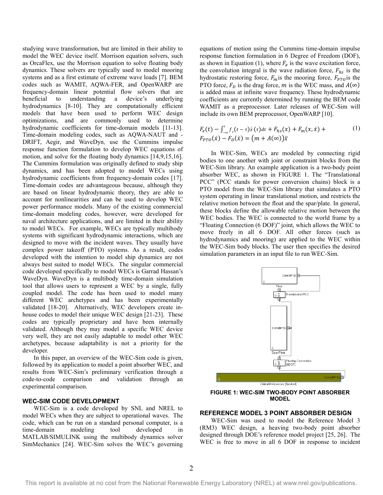studying wave transformation, but are limited in their ability to model the WEC device itself. Morrison equation solvers, such as OrcaFlex, use the Morrison equation to solve floating body dynamics. These solvers are typically used to model mooring systems and as a first estimate of extreme wave loads [7]. BEM codes such as WAMIT, AQWA-FER, and OpenWARP are frequency-domain linear potential flow solvers that are beneficial to understanding a device's underlying hydrodynamics [8-10]. They are computationally efficient models that have been used to perform WEC design optimizations, and are commonly used to determine hydrodynamic coefficients for time-domain models [11-13]. Time-domain modeling codes, such as AQWA-NAUT and - DRIFT, Aegir, and WaveDyn, use the Cummins impulse response function formulation to develop WEC equations of motion, and solve for the floating body dynamics [14,9,15,16]. The Cummins formulation was originally defined to study ship dynamics, and has been adopted to model WECs using hydrodynamic coefficients from frequency-domain codes [17]. Time-domain codes are advantageous because, although they are based on linear hydrodynamic theory, they are able to account for nonlinearities and can be used to develop WEC power performance models. Many of the existing commercial time-domain modeling codes, however, were developed for naval architecture applications, and are limited in their ability to model WECs. For example, WECs are typically multibody systems with significant hydrodynamic interactions, which are designed to move with the incident waves. They usually have complex power takeoff (PTO) systems. As a result, codes developed with the intention to model ship dynamics are not always best suited to model WECs. The singular commercial code developed specifically to model WECs is Garrad Hassan's WaveDyn. WaveDyn is a multibody time-domain simulation tool that allows users to represent a WEC by a single, fully coupled model. The code has been used to model many different WEC archetypes and has been experimentally validated [18-20]. Alternatively, WEC developers create inhouse codes to model their unique WEC design [21-23]. These codes are typically proprietary and have been internally validated. Although they may model a specific WEC device very well, they are not easily adaptable to model other WEC archetypes, because adaptability is not a priority for the developer.

In this paper, an overview of the WEC-Sim code is given, followed by its application to model a point absorber WEC, and results from WEC-Sim's preliminary verification through a code-to-code comparison and validation through an experimental comparison.

#### **WEC-SIM CODE DEVELOPMENT**

WEC-Sim is a code developed by SNL and NREL to model WECs when they are subject to operational waves. The code, which can be run on a standard personal computer, is a time-domain modeling tool developed in MATLAB/SIMULINK using the multibody dynamics solver SimMechanics [24]. WEC-Sim solves the WEC's governing equations of motion using the Cummins time-domain impulse response function formulation in 6 Degree of Freedom (DOF), as shown in Equation (1), where  $F_e$  is the wave excitation force, the convolution integral is the wave radiation force,  $F_{hs}$  is the hydrostatic restoring force,  $F_m$  is the mooring force,  $F_{PTO}$  is the PTO force,  $F<sub>D</sub>$  is the drag force, m is the WEC mass, and  $A(\infty)$ is added mass at infinite wave frequency. These hydrodynamic coefficients are currently determined by running the BEM code WAMIT as a preprocessor. Later releases of WEC-Sim will include its own BEM preprocessor, OpenWARP [10].

$$
F_e(t) - \int_{-\infty}^t f_r(t - \tau) \dot{x}(\tau) d\tau + F_{hs}(x) + F_m(x, \dot{x}) +
$$
  
\n
$$
F_{PTO}(\dot{x}) - F_D(\dot{x}) = (m + A(\infty))\ddot{x}
$$
 (1)

In WEC-Sim, WECs are modeled by connecting rigid bodies to one another with joint or constraint blocks from the WEC-Sim library. An example application is a two-body point absorber WEC, as shown in [FIGURE 1.](#page-3-0) The "Translational PCC" (PCC stands for power conversion chains) block is a PTO model from the WEC-Sim library that simulates a PTO system operating in linear translational motion, and restricts the relative motion between the float and the spar/plate. In general, these blocks define the allowable relative motion between the WEC bodies. The WEC is connected to the world frame by a "Floating Connection (6 DOF)" joint, which allows the WEC to move freely in all 6 DOF. All other forces (such as hydrodynamics and mooring) are applied to the WEC within the WEC-Sim body blocks. The user then specifies the desired simulation parameters in an input file to run WEC-Sim.



<span id="page-3-0"></span>**FIGURE 1: WEC-SIM TWO-BODY POINT ABSORBER MODEL**

### **REFERENCE MODEL 3 POINT ABSORBER DESIGN**

WEC-Sim was used to model the Reference Model 3 (RM3) WEC design, a heaving two-body point absorber designed through DOE's reference model project [25, 26]. The WEC is free to move in all 6 DOF in response to incident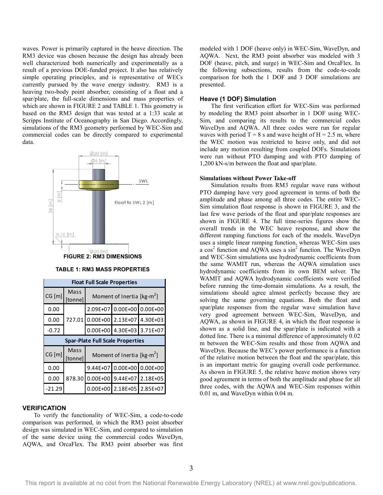waves. Power is primarily captured in the heave direction. The RM3 device was chosen because the design has already been well characterized both numerically and experimentally as a result of a previous DOE-funded project. It also has relatively simple operating principles, and is representative of WECs currently pursued by the wave energy industry. RM3 is a heaving two-body point absorber, consisting of a float and a spar/plate, the full-scale dimensions and mass properties of which are shown in [FIGURE 2](#page-4-0) and [TABLE 1.](#page-4-1) This geometry is based on the RM3 design that was tested at a 1:33 scale at Scripps Institute of Oceanography in San Diego. Accordingly, simulations of the RM3 geometry performed by WEC-Sim and commercial codes can be directly compared to experimental data.



**FIGURE 2: RM3 DIMENSIONS**

**TABLE 1: RM3 MASS PROPERTIES**

<span id="page-4-1"></span><span id="page-4-0"></span>

| <b>Float Full Scale Properties</b>      |                 |                                            |                            |  |
|-----------------------------------------|-----------------|--------------------------------------------|----------------------------|--|
| CG [m]                                  | Mass<br>[tonne] | Moment of Inertia [ $kg$ -m <sup>2</sup> ] |                            |  |
| 0.00                                    | 727.01          |                                            | 2.09E+07 0.00E+00 0.00E+00 |  |
| 0.00                                    |                 |                                            | 0.00E+00 2.13E+07 4.30E+03 |  |
| $-0.72$                                 |                 |                                            | 0.00E+00 4.30E+03 3.71E+07 |  |
| <b>Spar-Plate Full Scale Properties</b> |                 |                                            |                            |  |
| CG [m]                                  | Mass<br>[tonne] | Moment of Inertia [kg-m <sup>2</sup> ]     |                            |  |
| 0.00                                    |                 |                                            | 9.44E+07 0.00E+00 0.00E+00 |  |
|                                         |                 |                                            |                            |  |
| 0.00                                    | 878.30          |                                            | 0.00E+00 9.44E+07 2.18E+05 |  |

#### **VERIFICATION**

To verify the functionality of WEC-Sim, a code-to-code comparison was performed, in which the RM3 point absorber design was simulated in WEC-Sim, and compared to simulation of the same device using the commercial codes WaveDyn, AQWA, and OrcaFlex. The RM3 point absorber was first modeled with 1 DOF (heave only) in WEC-Sim, WaveDyn, and AQWA. Next, the RM3 point absorber was modeled with 3 DOF (heave, pitch, and surge) in WEC-Sim and OrcaFlex. In the following subsections, results from the code-to-code comparison for both the 1 DOF and 3 DOF simulations are presented.

#### **Heave (1 DOF) Simulation**

The first verification effort for WEC-Sim was performed by modeling the RM3 point absorber in 1 DOF using WEC-Sim, and comparing its results to the commercial codes WaveDyn and AQWA. All three codes were run for regular waves with period  $T = 8$  s and wave height of  $H = 2.5$  m, where the WEC motion was restricted to heave only, and did not include any motion resulting from coupled DOFs. Simulations were run without PTO damping and with PTO damping of 1,200 kN-s/m between the float and spar/plate.

#### **Simulations without Power Take-off**

Simulation results from RM3 regular wave runs without PTO damping have very good agreement in terms of both the amplitude and phase among all three codes. The entire WEC-Sim simulation float response is shown in [FIGURE 3,](#page-5-0) and the last few wave periods of the float and spar/plate responses are shown in [FIGURE 4.](#page-5-1) The full time-series figures show the overall trends in the WEC heave response, and show the different ramping functions for each of the models. WaveDyn uses a simple linear ramping function, whereas WEC-Sim uses a  $\cos^2$  function and AQWA uses a  $\sin^2$  function. The WaveDyn and WEC-Sim simulations use hydrodynamic coefficients from the same WAMIT run, whereas the AQWA simulation uses hydrodynamic coefficients from its own BEM solver. The WAMIT and AQWA hydrodynamic coefficients were verified before running the time-domain simulations. As a result, the simulations should agree almost perfectly because they are solving the same governing equations. Both the float and spar/plate responses from the regular wave simulation have very good agreement between WEC-Sim, WaveDyn, and AQWA, as shown in [FIGURE 4,](#page-5-1) in which the float response is shown as a solid line, and the spar/plate is indicated with a dotted line. There is a minimal difference of approximately 0.02 m between the WEC-Sim results and those from AQWA and WaveDyn. Because the WEC's power performance is a function of the relative motion between the float and the spar/plate, this is an important metric for gauging overall code performance. As shown in [FIGURE 5,](#page-5-2) the relative heave motion shows very good agreement in terms of both the amplitude and phase for all three codes, with the AQWA and WEC-Sim responses within 0.01 m, and WaveDyn within 0.04 m.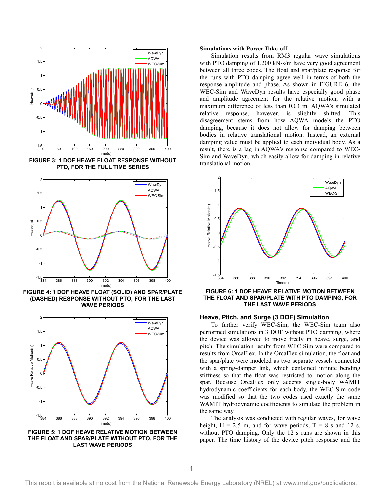

<span id="page-5-0"></span>**FIGURE 3: 1 DOF HEAVE FLOAT RESPONSE WITHOUT PTO, FOR THE FULL TIME SERIES**



<span id="page-5-1"></span>**FIGURE 4: 1 DOF HEAVE FLOAT (SOLID) AND SPAR/PLATE (DASHED) RESPONSE WITHOUT PTO, FOR THE LAST WAVE PERIODS**



<span id="page-5-2"></span>**FIGURE 5: 1 DOF HEAVE RELATIVE MOTION BETWEEN THE FLOAT AND SPAR/PLATE WITHOUT PTO, FOR THE LAST WAVE PERIODS**

#### **Simulations with Power Take-off**

Simulation results from RM3 regular wave simulations with PTO damping of 1,200 kN-s/m have very good agreement between all three codes. The float and spar/plate response for the runs with PTO damping agree well in terms of both the response amplitude and phase. As shown in [FIGURE 6,](#page-5-3) the WEC-Sim and WaveDyn results have especially good phase and amplitude agreement for the relative motion, with a maximum difference of less than 0.03 m. AQWA's simulated relative response, however, is slightly shifted. This disagreement stems from how AQWA models the PTO damping, because it does not allow for damping between bodies in relative translational motion. Instead, an external damping value must be applied to each individual body. As a result, there is a lag in AQWA's response compared to WEC-Sim and WaveDyn, which easily allow for damping in relative translational motion.



<span id="page-5-3"></span>**FIGURE 6: 1 DOF HEAVE RELATIVE MOTION BETWEEN THE FLOAT AND SPAR/PLATE WITH PTO DAMPING, FOR THE LAST WAVE PERIODS**

## **Heave, Pitch, and Surge (3 DOF) Simulation**

To further verify WEC-Sim, the WEC-Sim team also performed simulations in 3 DOF without PTO damping, where the device was allowed to move freely in heave, surge, and pitch. The simulation results from WEC-Sim were compared to results from OrcaFlex. In the OrcaFlex simulation, the float and the spar/plate were modeled as two separate vessels connected with a spring-damper link, which contained infinite bending stiffness so that the float was restricted to motion along the spar. Because OrcaFlex only accepts single-body WAMIT hydrodynamic coefficients for each body, the WEC-Sim code was modified so that the two codes used exactly the same WAMIT hydrodynamic coefficients to simulate the problem in the same way.

The analysis was conducted with regular waves, for wave height,  $H = 2.5$  m, and for wave periods,  $T = 8$  s and 12 s, without PTO damping. Only the 12 s runs are shown in this paper. The time history of the device pitch response and the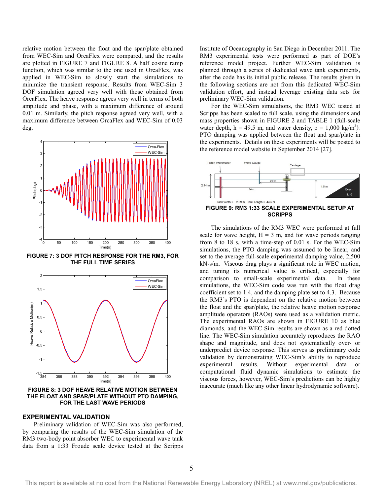relative motion between the float and the spar/plate obtained from WEC-Sim and OrcaFlex were compared, and the results are plotted in [FIGURE 7](#page-6-0) and [FIGURE 8.](#page-6-1) A half cosine ramp function, which was similar to the one used in OrcaFlex, was applied in WEC-Sim to slowly start the simulations to minimize the transient response. Results from WEC-Sim 3 DOF simulation agreed very well with those obtained from OrcaFlex. The heave response agrees very well in terms of both amplitude and phase, with a maximum difference of around 0.01 m. Similarly, the pitch response agreed very well, with a maximum difference between OrcaFlex and WEC-Sim of 0.03 deg.



<span id="page-6-0"></span>**FIGURE 7: 3 DOF PITCH RESPONSE FOR THE RM3, FOR THE FULL TIME SERIES**



<span id="page-6-1"></span>**FIGURE 8: 3 DOF HEAVE RELATIVE MOTION BETWEEN THE FLOAT AND SPAR/PLATE WITHOUT PTO DAMPING, FOR THE LAST WAVE PERIODS**

#### **EXPERIMENTAL VALIDATION**

Preliminary validation of WEC-Sim was also performed, by comparing the results of the WEC-Sim simulation of the RM3 two-body point absorber WEC to experimental wave tank data from a 1:33 Froude scale device tested at the Scripps Institute of Oceanography in San Diego in December 2011. The RM3 experimental tests were performed as part of DOE's reference model project. Further WEC-Sim validation is planned through a series of dedicated wave tank experiments, after the code has its initial public release. The results given in the following sections are not from this dedicated WEC-Sim validation effort, and instead leverage existing data sets for preliminary WEC-Sim validation.

For the WEC-Sim simulations, the RM3 WEC tested at Scripps has been scaled to full scale, using the dimensions and mass properties shown in [FIGURE 2](#page-4-0) and [TABLE 1](#page-4-1) (full-scale water depth,  $h = 49.5$  m, and water density,  $\rho = 1,000 \text{ kg/m}^3$ . PTO damping was applied between the float and spar/plate in the experiments. Details on these experiments will be posted to the reference model website in September 2014 [27].



The simulations of the RM3 WEC were performed at full scale for wave height,  $H = 3$  m, and for wave periods ranging from 8 to 18 s, with a time-step of 0.01 s. For the WEC-Sim simulations, the PTO damping was assumed to be linear, and set to the average full-scale experimental damping value, 2,500 kN-s/m. Viscous drag plays a significant role in WEC motion, and tuning its numerical value is critical, especially for comparison to small-scale experimental data. In these simulations, the WEC-Sim code was run with the float drag coefficient set to 1.4, and the damping plate set to 4.3. Because the RM3's PTO is dependent on the relative motion between the float and the spar/plate, the relative heave motion response amplitude operators (RAOs) were used as a validation metric. The experimental RAOs are shown in [FIGURE 10](#page-7-0) as blue diamonds, and the WEC-Sim results are shown as a red dotted line. The WEC-Sim simulation accurately reproduces the RAO shape and magnitude, and does not systematically over- or underpredict device response. This serves as preliminary code validation by demonstrating WEC-Sim's ability to reproduce experimental results. Without experimental data or computational fluid dynamic simulations to estimate the viscous forces, however, WEC-Sim's predictions can be highly inaccurate (much like any other linear hydrodynamic software).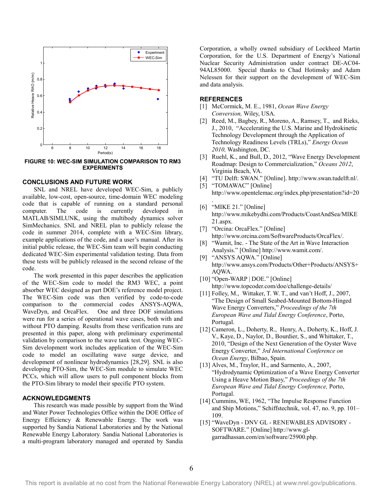

<span id="page-7-0"></span>**FIGURE 10: WEC-SIM SIMULATION COMPARISON TO RM3 EXPERIMENTS** 

# **CONCLUSIONS AND FUTURE WORK**

SNL and NREL have developed WEC-Sim, a publicly available, low-cost, open-source, time-domain WEC modeling code that is capable of running on a standard personal computer. The code is currently developed in MATLAB/SIMLUNK, using the multibody dynamics solver SimMechanics. SNL and NREL plan to publicly release the code in summer 2014, complete with a WEC-Sim library, example applications of the code, and a user's manual. After its initial public release, the WEC-Sim team will begin conducting dedicated WEC-Sim experimental validation testing. Data from these tests will be publicly released in the second release of the code.

The work presented in this paper describes the application of the WEC-Sim code to model the RM3 WEC, a point absorber WEC designed as part DOE's reference model project. The WEC-Sim code was then verified by code-to-code comparison to the commercial codes ANSYS-AQWA, WaveDyn, and OrcaFlex. One and three DOF simulations were run for a series of operational wave cases, both with and without PTO damping. Results from these verification runs are presented in this paper, along with preliminary experimental validation by comparison to the wave tank test. Ongoing WEC-Sim development work includes application of the WEC-Sim code to model an oscillating wave surge device, and development of nonlinear hydrodynamics [28,29]. SNL is also developing PTO-Sim, the WEC-Sim module to simulate WEC PCCs, which will allow users to pull component blocks from the PTO-Sim library to model their specific PTO system.

#### **ACKNOWLEDGMENTS**

This research was made possible by support from the Wind and Water Power Technologies Office within the DOE Office of Energy Efficiency & Renewable Energy. The work was supported by Sandia National Laboratories and by the National Renewable Energy Laboratory. Sandia National Laboratories is a multi-program laboratory managed and operated by Sandia Corporation, a wholly owned subsidiary of Lockheed Martin Corporation, for the U.S. Department of Energy's National Nuclear Security Administration under contract DE-AC04- 94AL85000. Special thanks to Chad Hotimsky and Adam Nelessen for their support on the development of WEC-Sim and data analysis.

#### **REFERENCES**

- [1] McCormick, M. E., 1981, *Ocean Wave Energy Conversion,* Wiley, USA.
- [2] Reed, M., Bagbey, R., Moreno, A., Ramsey, T., and Rieks, J., 2010, "Accelerating the U.S. Marine and Hydrokinetic Technology Development through the Application of Technology Readiness Levels (TRLs)," *Energy Ocean 2010,* Washington, DC.
- [3] Ruehl, K., and Bull, D., 2012, "Wave Energy Development" Roadmap: Design to Commercialization," *Oceans 2012*, Virginia Beach, VA.
- [4] "TU Delft: SWAN." [Online]. http://www.swan.tudelft.nl/.
- [5] "TOMAWAC" [Online] http://www.opentelemac.org/index.php/presentation?id=20 .
- [6] "MIKE 21." [Online] http://www.mikebydhi.com/Products/CoastAndSea/MIKE 21.aspx.
- [7] "Orcina: OrcaFlex." [Online] http://www.orcina.com/SoftwareProducts/OrcaFlex/.
- [8] "Wamit, Inc. The State of the Art in Wave Interaction Analysis." [Online] http://www.wamit.com/.
- [9] "ANSYS AQWA." [Online] http://www.ansys.com/Products/Other+Products/ANSYS+ AQWA.
- [10] "Open-WARP | DOE." [Online] http://www.topcoder.com/doe/challenge-details/
- [11] Folley, M., Wittaker, T. W. T., and van't Hoff, J., 2007, "The Design of Small Seabed-Mounted Bottom-Hinged Wave Energy Converters," *Proceedings of the 7th European Wave and Tidal Energy Conference*, Porto, Portugal.
- [12] Cameron, L., Doherty, R., Henry, A., Doherty, K., Hoff, J. V., Kaye, D., Naylor, D., Bourdier, S., and Whittaker, T., 2010, "Design of the Next Generation of the Oyster Wave Energy Converter," *3rd International Conference on Ocean Energy*, Bilbao, Spain.
- [13] Alves, M., Traylor, H., and Sarmento, A., 2007, "Hydrodynamic Optimization of a Wave Energy Converter Using a Heave Motion Buoy," *Proceedings of the 7th European Wave and Tidal Energy Conference,* Porto, Portugal.
- [14] Cummins, WE, 1962, "The Impulse Response Function and Ship Motions," Schiffstechnik, vol. 47, no. 9, pp. 101– 109.
- [15] "WaveDyn DNV GL RENEWABLES ADVISORY SOFTWARE." [Online] http://www.glgarradhassan.com/en/software/25900.php.